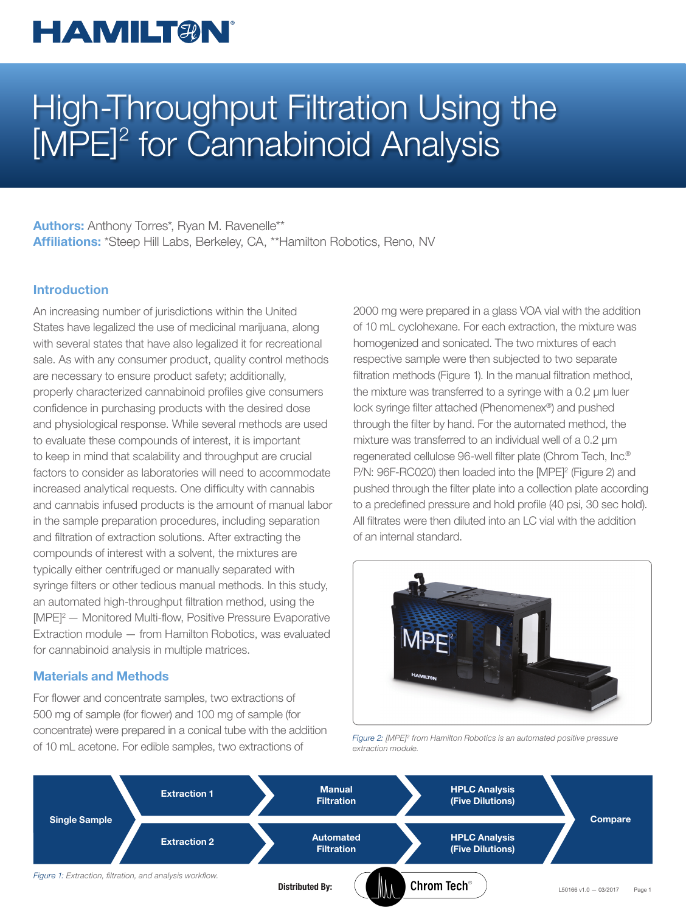## **HAMILTAN**

# High-Throughput Filtration Using the [MPE]<sup>2</sup> for Cannabinoid Analysis

Authors: Anthony Torres\*, Ryan M. Ravenelle\*\* Affiliations: \*Steep Hill Labs, Berkeley, CA, \*\*Hamilton Robotics, Reno, NV

### Introduction

An increasing number of jurisdictions within the United States have legalized the use of medicinal marijuana, along with several states that have also legalized it for recreational sale. As with any consumer product, quality control methods are necessary to ensure product safety; additionally, properly characterized cannabinoid profiles give consumers confidence in purchasing products with the desired dose and physiological response. While several methods are used to evaluate these compounds of interest, it is important to keep in mind that scalability and throughput are crucial factors to consider as laboratories will need to accommodate increased analytical requests. One difficulty with cannabis and cannabis infused products is the amount of manual labor in the sample preparation procedures, including separation and filtration of extraction solutions. After extracting the compounds of interest with a solvent, the mixtures are typically either centrifuged or manually separated with syringe filters or other tedious manual methods. In this study, an automated high-throughput filtration method, using the [MPE]2 — Monitored Multi-flow, Positive Pressure Evaporative Extraction module — from Hamilton Robotics, was evaluated for cannabinoid analysis in multiple matrices.

#### Materials and Methods

For flower and concentrate samples, two extractions of 500 mg of sample (for flower) and 100 mg of sample (for concentrate) were prepared in a conical tube with the addition of 10 mL acetone. For edible samples, two extractions of

2000 mg were prepared in a glass VOA vial with the addition of 10 mL cyclohexane. For each extraction, the mixture was homogenized and sonicated. The two mixtures of each respective sample were then subjected to two separate filtration methods (Figure 1). In the manual filtration method, the mixture was transferred to a syringe with a 0.2 µm luer lock syringe filter attached (Phenomenex®) and pushed through the filter by hand. For the automated method, the mixture was transferred to an individual well of a 0.2 µm regenerated cellulose 96-well filter plate (Chrom Tech, Inc.® P/N: 96F-RC020) then loaded into the [MPE]<sup>2</sup> (Figure 2) and pushed through the filter plate into a collection plate according to a predefined pressure and hold profile (40 psi, 30 sec hold). All filtrates were then diluted into an LC vial with the addition of an internal standard.



Figure 2: [MPE]<sup>2</sup> from Hamilton Robotics is an automated positive pressure extraction module.

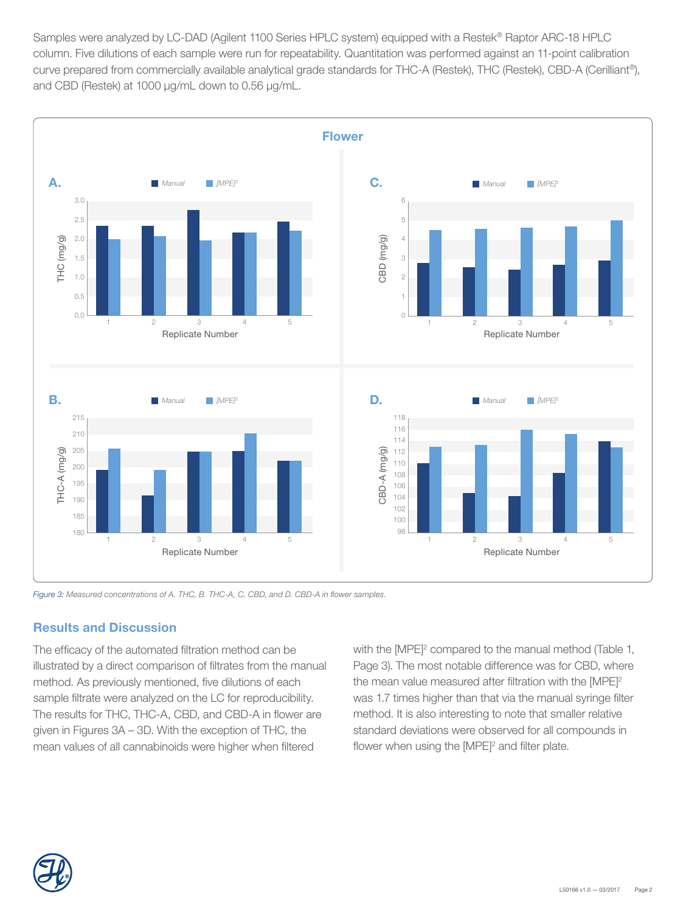Samples were analyzed by LC-DAD (Agilent 1100 Series HPLC system) equipped with a Restek® Raptor ARC-18 HPLC column. Five dilutions of each sample were run for repeatability. Quantitation was performed against an 11-point calibration curve prepared from commercially available analytical grade standards for THC-A (Restek), THC (Restek), CBD-A (Cerilliant®), and CBD (Restek) at 1000 μg/mL down to 0.56 μg/mL.



Figure 3: Measured concentrations of A. THC, B. THC-A, C. CBD, and D. CBD-A in flower samples.

## Results and Discussion

The efficacy of the automated filtration method can be illustrated by a direct comparison of filtrates from the manual method. As previously mentioned, five dilutions of each sample filtrate were analyzed on the LC for reproducibility. The results for THC, THC-A, CBD, and CBD-A in flower are given in Figures 3A – 3D. With the exception of THC, the mean values of all cannabinoids were higher when filtered

with the [MPE]<sup>2</sup> compared to the manual method (Table 1, Page 3). The most notable difference was for CBD, where the mean value measured after filtration with the [MPE]<sup>2</sup> was 1.7 times higher than that via the manual syringe filter method. It is also interesting to note that smaller relative standard deviations were observed for all compounds in flower when using the  $[MPE]^2$  and filter plate.

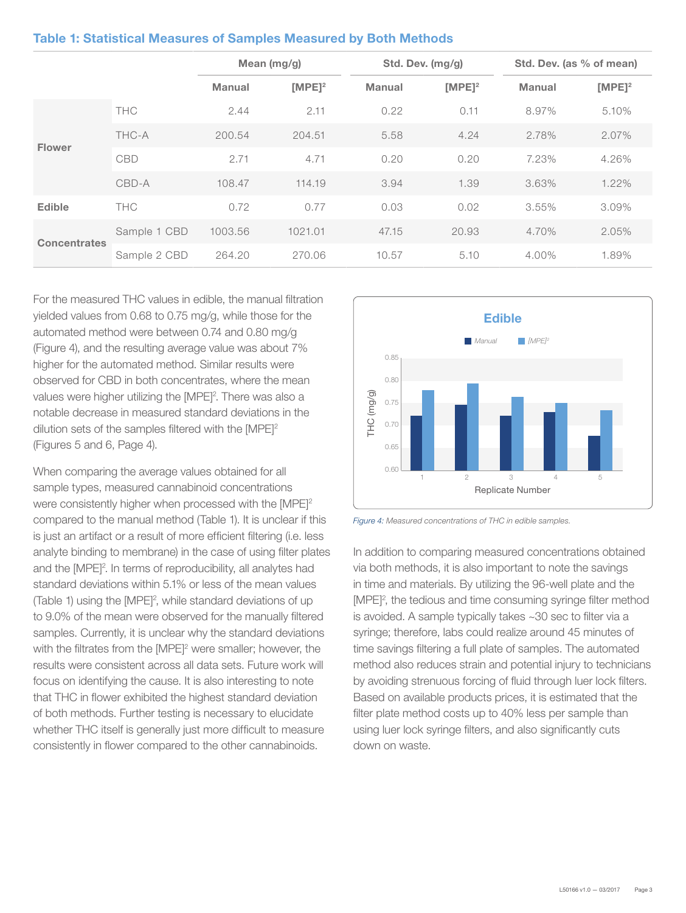|                     |              | Mean $(mg/g)$ |                    | Std. Dev. (mg/g) |                    | Std. Dev. (as % of mean) |           |
|---------------------|--------------|---------------|--------------------|------------------|--------------------|--------------------------|-----------|
|                     |              | <b>Manual</b> | IMPE1 <sup>2</sup> | <b>Manual</b>    | IMPE1 <sup>2</sup> | <b>Manual</b>            | $[MPE]^2$ |
| <b>Flower</b>       | <b>THC</b>   | 2.44          | 2.11               | 0.22             | 0.11               | 8.97%                    | 5.10%     |
|                     | THC-A        | 200.54        | 204.51             | 5.58             | 4.24               | 2.78%                    | 2.07%     |
|                     | CBD          | 2.71          | 4.71               | 0.20             | 0.20               | 7.23%                    | 4.26%     |
|                     | CBD-A        | 108.47        | 114.19             | 3.94             | 1.39               | 3.63%                    | $1.22\%$  |
| <b>Edible</b>       | <b>THC</b>   | 0.72          | 0.77               | 0.03             | 0.02               | 3.55%                    | 3.09%     |
| <b>Concentrates</b> | Sample 1 CBD | 1003.56       | 1021.01            | 47.15            | 20.93              | 4.70%                    | 2.05%     |
|                     | Sample 2 CBD | 264.20        | 270.06             | 10.57            | 5.10               | 4.00%                    | 1.89%     |

For the measured THC values in edible, the manual filtration yielded values from 0.68 to 0.75 mg/g, while those for the automated method were between 0.74 and 0.80 mg/g (Figure 4), and the resulting average value was about 7% higher for the automated method. Similar results were observed for CBD in both concentrates, where the mean values were higher utilizing the [MPE]<sup>2</sup>. There was also a notable decrease in measured standard deviations in the dilution sets of the samples filtered with the [MPE]<sup>2</sup> (Figures 5 and 6, Page 4).

When comparing the average values obtained for all sample types, measured cannabinoid concentrations were consistently higher when processed with the [MPE]<sup>2</sup> compared to the manual method (Table 1). It is unclear if this is just an artifact or a result of more efficient filtering (i.e. less analyte binding to membrane) in the case of using filter plates and the [MPE]<sup>2</sup>. In terms of reproducibility, all analytes had standard deviations within 5.1% or less of the mean values (Table 1) using the [MPE]<sup>2</sup>, while standard deviations of up to 9.0% of the mean were observed for the manually filtered samples. Currently, it is unclear why the standard deviations with the filtrates from the [MPE]<sup>2</sup> were smaller; however, the results were consistent across all data sets. Future work will focus on identifying the cause. It is also interesting to note that THC in flower exhibited the highest standard deviation of both methods. Further testing is necessary to elucidate whether THC itself is generally just more difficult to measure consistently in flower compared to the other cannabinoids.



Figure 4: Measured concentrations of THC in edible samples.

In addition to comparing measured concentrations obtained via both methods, it is also important to note the savings in time and materials. By utilizing the 96-well plate and the [MPE]<sup>2</sup>, the tedious and time consuming syringe filter method is avoided. A sample typically takes ~30 sec to filter via a syringe; therefore, labs could realize around 45 minutes of time savings filtering a full plate of samples. The automated method also reduces strain and potential injury to technicians by avoiding strenuous forcing of fluid through luer lock filters. Based on available products prices, it is estimated that the filter plate method costs up to 40% less per sample than using luer lock syringe filters, and also significantly cuts down on waste.